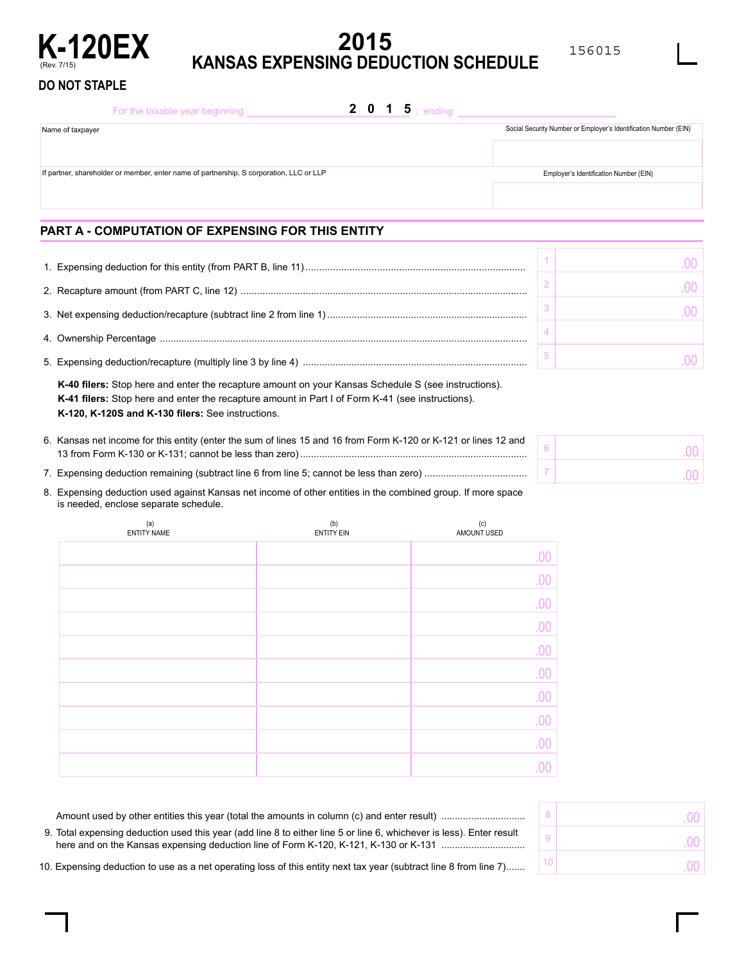

# **K-120EX 2015 KANSAS EXPENSING DEDUCTION SCHEDULE**

156015

 $\sim$ 

.00

### **DO NOT STAPLE**

|                                                                                         | For the taxable year beginning |  | <b>2</b> 0 1 5 ; ending |                                                                  |
|-----------------------------------------------------------------------------------------|--------------------------------|--|-------------------------|------------------------------------------------------------------|
| Name of taxpayer                                                                        |                                |  |                         | Social Security Number or Employer's Identification Number (EIN) |
|                                                                                         |                                |  |                         |                                                                  |
| If partner, shareholder or member, enter name of partnership, S corporation, LLC or LLP |                                |  |                         | Employer's Identification Number (EIN)                           |
|                                                                                         |                                |  |                         |                                                                  |
|                                                                                         |                                |  |                         |                                                                  |

## **PART A - COMPUTATION OF EXPENSING FOR THIS ENTITY**

**K-40 filers:** Stop here and enter the recapture amount on your Kansas Schedule S (see instructions). **K-41 filers:** Stop here and enter the recapture amount in Part I of Form K-41 (see instructions). **K-120, K-120S and K-130 filers:** See instructions.

| 6. Kansas net income for this entity (enter the sum of lines 15 and 16 from Form K-120 or K-121 or lines 12 and |  |
|-----------------------------------------------------------------------------------------------------------------|--|
|                                                                                                                 |  |
|                                                                                                                 |  |

| 8. Expensing deduction used against Kansas net income of other entities in the combined group. If more space |
|--------------------------------------------------------------------------------------------------------------|
| is needed, enclose separate schedule.                                                                        |

| (a)<br>ENTITY NAME | (b)<br><b>ENTITY EIN</b> | $\left( \mathsf{c}\right)$<br>AMOUNT USED |
|--------------------|--------------------------|-------------------------------------------|
|                    |                          | .00                                       |
|                    |                          | .00                                       |
|                    |                          | .00                                       |
|                    |                          | .00                                       |
|                    |                          | .00                                       |
|                    |                          | .00                                       |
|                    |                          | .00                                       |
|                    |                          | .00                                       |
|                    |                          | .00                                       |
|                    |                          | 00                                        |

|                                                                                                                      | UU I |
|----------------------------------------------------------------------------------------------------------------------|------|
| 9. Total expensing deduction used this year (add line 8 to either line 5 or line 6, whichever is less). Enter result | UU I |
| 0. Expensing deduction to use as a net operating loss of this entity next tax year (subtract line 8 from line 7)     | 00 1 |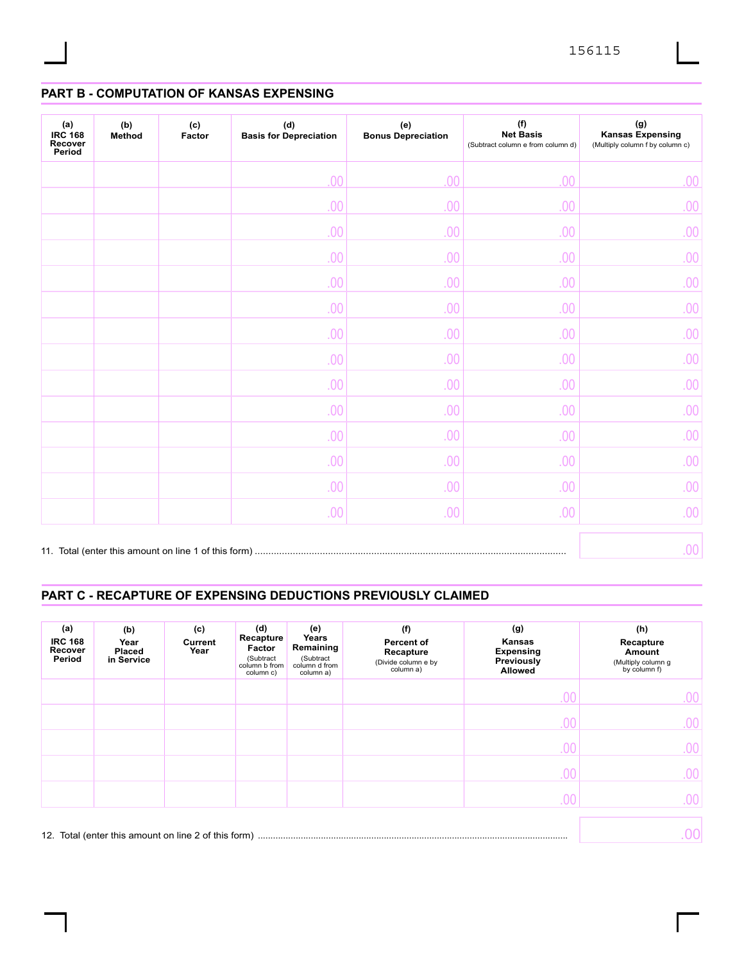## **PART B - COMPUTATION OF KANSAS EXPENSING**

| (a)<br><b>IRC 168</b><br>Recover<br>Period | (b)<br>Method | (c)<br>Factor | (d)<br><b>Basis for Depreciation</b> | (e)<br><b>Bonus Depreciation</b> | (f)<br><b>Net Basis</b><br>(Subtract column e from column d) | $(\mathsf{g})$<br><b>Kansas Expensing</b><br>(Multiply column f by column c) |
|--------------------------------------------|---------------|---------------|--------------------------------------|----------------------------------|--------------------------------------------------------------|------------------------------------------------------------------------------|
|                                            |               |               | 00                                   | .00                              | .00                                                          | .00                                                                          |
|                                            |               |               | .00                                  | .00                              | .00                                                          | .00                                                                          |
|                                            |               |               | .00                                  | .00                              | .00                                                          | .00                                                                          |
|                                            |               |               | .00                                  | .00                              | .00                                                          | .00                                                                          |
|                                            |               |               | .00                                  | .00                              | .00                                                          | .00                                                                          |
|                                            |               |               | .00                                  | .00                              | .00                                                          | .00                                                                          |
|                                            |               |               | .00                                  | .00                              | .00                                                          | .00                                                                          |
|                                            |               |               | .00                                  | .00                              | .00                                                          | .00                                                                          |
|                                            |               |               | .00                                  | .00                              | .00                                                          | .00                                                                          |
|                                            |               |               | .00                                  | .00                              | .00                                                          | .00                                                                          |
|                                            |               |               | .00                                  | .00                              | .00                                                          | .00                                                                          |
|                                            |               |               | .00                                  | .00                              | .00                                                          | .00                                                                          |
|                                            |               |               | .00                                  | .00                              | .00                                                          | .00                                                                          |
|                                            |               |               | .00                                  | .00                              | .00                                                          | .00.                                                                         |
|                                            |               |               |                                      |                                  |                                                              | .00 <sub>1</sub>                                                             |

## **PART C - RECAPTURE OF EXPENSING DEDUCTIONS PREVIOUSLY CLAIMED**

| (a)<br><b>IRC 168</b><br>Recover<br>Period | (b)<br>Year<br><b>Placed</b><br>in Service | (c)<br>Current<br>Year | (d)<br>Recapture<br>Factor<br>(Subtract<br>column b from<br>column c) | (e)<br>Years<br>Remaining<br>(Subtract<br>column d from<br>column a) | (f)<br>Percent of<br>Recapture<br>(Divide column e by<br>column a) | (g)<br>Kansas<br><b>Expensing</b><br>Previously<br><b>Allowed</b> | (h)<br>Recapture<br>Amount<br>(Multiply column g<br>by column f) |
|--------------------------------------------|--------------------------------------------|------------------------|-----------------------------------------------------------------------|----------------------------------------------------------------------|--------------------------------------------------------------------|-------------------------------------------------------------------|------------------------------------------------------------------|
|                                            |                                            |                        |                                                                       |                                                                      |                                                                    | .00                                                               | .00 <sub>1</sub>                                                 |
|                                            |                                            |                        |                                                                       |                                                                      |                                                                    | .00                                                               | 00.                                                              |
|                                            |                                            |                        |                                                                       |                                                                      |                                                                    | .00                                                               | 00.                                                              |
|                                            |                                            |                        |                                                                       |                                                                      |                                                                    | .00                                                               | .00                                                              |
|                                            |                                            |                        |                                                                       |                                                                      |                                                                    | .00.                                                              | 00                                                               |
|                                            |                                            |                        |                                                                       |                                                                      |                                                                    |                                                                   |                                                                  |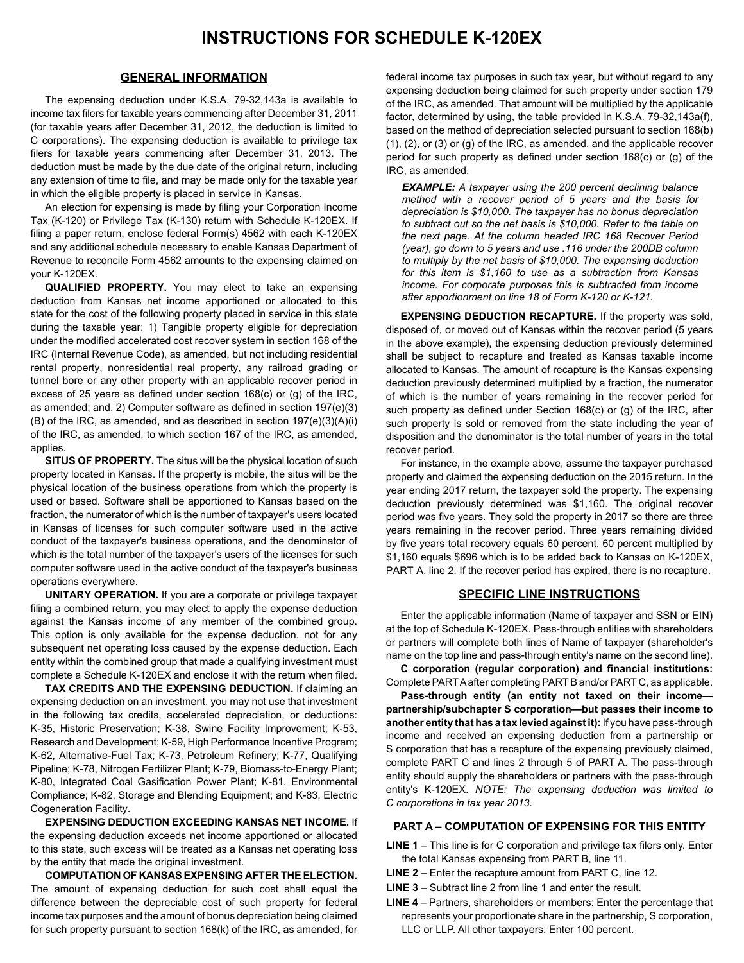#### **GENERAL INFORMATION**

The expensing deduction under K.S.A. 79-32,143a is available to income tax filers for taxable years commencing after December 31, 2011 (for taxable years after December 31, 2012, the deduction is limited to C corporations). The expensing deduction is available to privilege tax filers for taxable years commencing after December 31, 2013. The deduction must be made by the due date of the original return, including any extension of time to file, and may be made only for the taxable year in which the eligible property is placed in service in Kansas.

An election for expensing is made by filing your Corporation Income Tax (K-120) or Privilege Tax (K-130) return with Schedule K-120EX. If filing a paper return, enclose federal Form(s) 4562 with each K-120EX and any additional schedule necessary to enable Kansas Department of Revenue to reconcile Form 4562 amounts to the expensing claimed on your K-120EX.

**QUALIFIED PROPERTY.** You may elect to take an expensing deduction from Kansas net income apportioned or allocated to this state for the cost of the following property placed in service in this state during the taxable year: 1) Tangible property eligible for depreciation under the modified accelerated cost recover system in section 168 of the IRC (Internal Revenue Code), as amended, but not including residential rental property, nonresidential real property, any railroad grading or tunnel bore or any other property with an applicable recover period in excess of 25 years as defined under section 168(c) or (g) of the IRC, as amended; and, 2) Computer software as defined in section 197(e)(3)  $(B)$  of the IRC, as amended, and as described in section  $197(e)(3)(A)(i)$ of the IRC, as amended, to which section 167 of the IRC, as amended, applies.

**SITUS OF PROPERTY.** The situs will be the physical location of such property located in Kansas. If the property is mobile, the situs will be the physical location of the business operations from which the property is used or based. Software shall be apportioned to Kansas based on the fraction, the numerator of which is the number of taxpayer's users located in Kansas of licenses for such computer software used in the active conduct of the taxpayer's business operations, and the denominator of which is the total number of the taxpayer's users of the licenses for such computer software used in the active conduct of the taxpayer's business operations everywhere.

**UNITARY OPERATION.** If you are a corporate or privilege taxpayer filing a combined return, you may elect to apply the expense deduction against the Kansas income of any member of the combined group. This option is only available for the expense deduction, not for any subsequent net operating loss caused by the expense deduction. Each entity within the combined group that made a qualifying investment must complete a Schedule K-120EX and enclose it with the return when filed.

**TAX CREDITS AND THE EXPENSING DEDUCTION.** If claiming an expensing deduction on an investment, you may not use that investment in the following tax credits, accelerated depreciation, or deductions: K-35, Historic Preservation; K-38, Swine Facility Improvement; K-53, Research and Development; K-59, High Performance Incentive Program; K-62, Alternative-Fuel Tax; K-73, Petroleum Refinery; K-77, Qualifying Pipeline; K-78, Nitrogen Fertilizer Plant; K-79, Biomass-to-Energy Plant; K-80, Integrated Coal Gasification Power Plant; K-81, Environmental Compliance; K-82, Storage and Blending Equipment; and K-83, Electric Cogeneration Facility.

**EXPENSING DEDUCTION EXCEEDING KANSAS NET INCOME.** If the expensing deduction exceeds net income apportioned or allocated to this state, such excess will be treated as a Kansas net operating loss by the entity that made the original investment.

**COMPUTATION OF KANSAS EXPENSING AFTER THE ELECTION.**  The amount of expensing deduction for such cost shall equal the difference between the depreciable cost of such property for federal income tax purposes and the amount of bonus depreciation being claimed for such property pursuant to section 168(k) of the IRC, as amended, for

federal income tax purposes in such tax year, but without regard to any expensing deduction being claimed for such property under section 179 of the IRC, as amended. That amount will be multiplied by the applicable factor, determined by using, the table provided in K.S.A. 79-32,143a(f), based on the method of depreciation selected pursuant to section 168(b) (1), (2), or (3) or (g) of the IRC, as amended, and the applicable recover period for such property as defined under section 168(c) or (g) of the IRC, as amended.

*EXAMPLE: A taxpayer using the 200 percent declining balance method with a recover period of 5 years and the basis for depreciation is \$10,000. The taxpayer has no bonus depreciation to subtract out so the net basis is \$10,000. Refer to the table on the next page. At the column headed IRC 168 Recover Period (year), go down to 5 years and use .116 under the 200DB column to multiply by the net basis of \$10,000. The expensing deduction for this item is \$1,160 to use as a subtraction from Kansas income. For corporate purposes this is subtracted from income after apportionment on line 18 of Form K-120 or K-121.* 

**EXPENSING DEDUCTION RECAPTURE.** If the property was sold, disposed of, or moved out of Kansas within the recover period (5 years in the above example), the expensing deduction previously determined shall be subject to recapture and treated as Kansas taxable income allocated to Kansas. The amount of recapture is the Kansas expensing deduction previously determined multiplied by a fraction, the numerator of which is the number of years remaining in the recover period for such property as defined under Section 168(c) or (g) of the IRC, after such property is sold or removed from the state including the year of disposition and the denominator is the total number of years in the total recover period.

For instance, in the example above, assume the taxpayer purchased property and claimed the expensing deduction on the 2015 return. In the year ending 2017 return, the taxpayer sold the property. The expensing deduction previously determined was \$1,160. The original recover period was five years. They sold the property in 2017 so there are three years remaining in the recover period. Three years remaining divided by five years total recovery equals 60 percent. 60 percent multiplied by \$1,160 equals \$696 which is to be added back to Kansas on K-120EX, PART A, line 2. If the recover period has expired, there is no recapture.

#### **SPECIFIC LINE INSTRUCTIONS**

Enter the applicable information (Name of taxpayer and SSN or EIN) at the top of Schedule K-120EX. Pass-through entities with shareholders or partners will complete both lines of Name of taxpayer (shareholder's name on the top line and pass-through entity's name on the second line).

**C corporation (regular corporation) and financial institutions:**  Complete PARTA after completing PART B and/or PART C, as applicable.

**Pass-through entity (an entity not taxed on their income partnership/subchapter S corporation—but passes their income to another entity that has a tax levied against it):** If you have pass-through income and received an expensing deduction from a partnership or S corporation that has a recapture of the expensing previously claimed, complete PART C and lines 2 through 5 of PART A. The pass-through entity should supply the shareholders or partners with the pass-through entity's K-120EX. *NOTE: The expensing deduction was limited to C corporations in tax year 2013.* 

#### **PART A – COMPUTATION OF EXPENSING FOR THIS ENTITY**

 **LINE 1** – This line is for C corporation and privilege tax filers only. Enter the total Kansas expensing from PART B, line 11.

- **LINE 2** Enter the recapture amount from PART C, line 12.
- **LINE 3** Subtract line 2 from line 1 and enter the result.
- **LINE 4** Partners, shareholders or members: Enter the percentage that represents your proportionate share in the partnership, S corporation, LLC or LLP. All other taxpayers: Enter 100 percent.